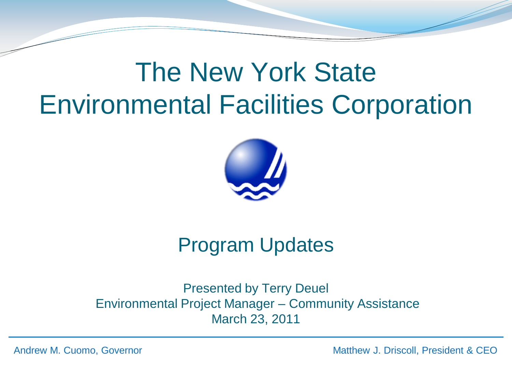# The New York State Environmental Facilities Corporation



## Program Updates

Presented by Terry Deuel Environmental Project Manager – Community Assistance March 23, 2011

Andrew M. Cuomo, Governor Matthew J. Driscoll, President & CEO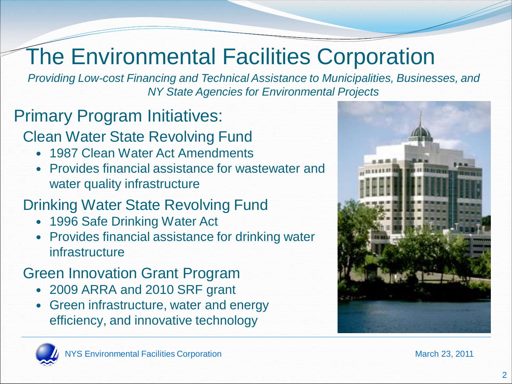# The Environmental Facilities Corporation

*Providing Low-cost Financing and Technical Assistance to Municipalities, Businesses, and NY State Agencies for Environmental Projects*

## Primary Program Initiatives:

#### Clean Water State Revolving Fund

- 1987 Clean Water Act Amendments
- Provides financial assistance for wastewater and water quality infrastructure

### Drinking Water State Revolving Fund

- 1996 Safe Drinking Water Act
- Provides financial assistance for drinking water infrastructure

## Green Innovation Grant Program

- 2009 ARRA and 2010 SRF grant
- Green infrastructure, water and energy efficiency, and innovative technology



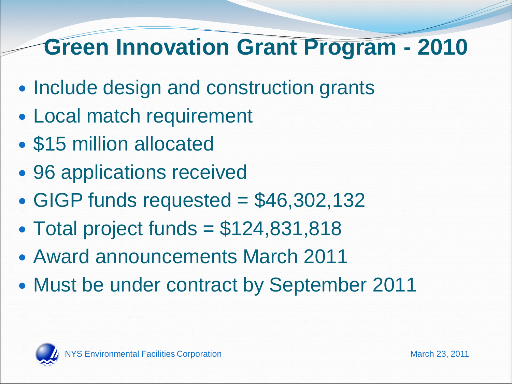## **Green Innovation Grant Program - 2010**

- Include design and construction grants
- Local match requirement
- \$15 million allocated
- 96 applications received
- $\cdot$  GIGP funds requested = \$46,302,132
- $\bullet$  Total project funds = \$124,831,818
- Award announcements March 2011
- Must be under contract by September 2011

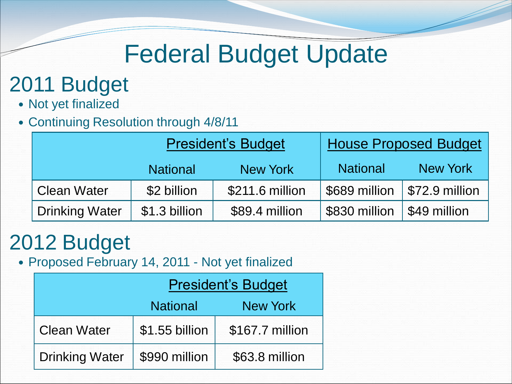# Federal Budget Update

## 2011 Budget

- Not yet finalized
- Continuing Resolution through 4/8/11

|                       | <b>President's Budget</b> |                 | <b>House Proposed Budget</b> |                        |
|-----------------------|---------------------------|-----------------|------------------------------|------------------------|
|                       | <b>National</b>           | <b>New York</b> | <b>National</b>              | <b>New York</b>        |
| <b>Clean Water</b>    | \$2 billion               | \$211.6 million | \$689 million                | $\sqrt{572.9}$ million |
| <b>Drinking Water</b> | \$1.3 billion             | \$89.4 million  | \$830 million                | \$49 million           |

## 2012 Budget

Proposed February 14, 2011 - Not yet finalized

|                       | <b>President's Budget</b> |                 |  |
|-----------------------|---------------------------|-----------------|--|
|                       | <b>National</b>           | <b>New York</b> |  |
| <b>Clean Water</b>    | \$1.55 billion            | \$167.7 million |  |
| <b>Drinking Water</b> | \$990 million             | \$63.8 million  |  |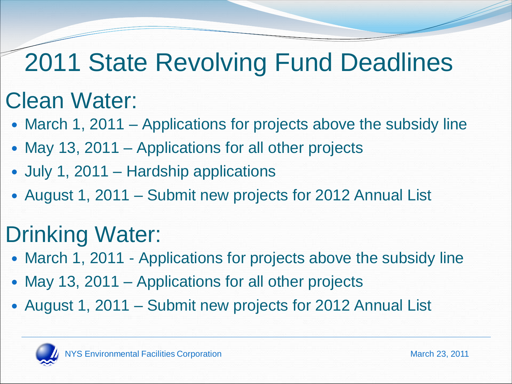# 2011 State Revolving Fund Deadlines

# Clean Water:

- March 1, 2011 Applications for projects above the subsidy line
- May 13, 2011 Applications for all other projects
- July 1, 2011 Hardship applications
- August 1, 2011 Submit new projects for 2012 Annual List

# Drinking Water:

- March 1, 2011 Applications for projects above the subsidy line
- May 13, 2011 Applications for all other projects
- August 1, 2011 Submit new projects for 2012 Annual List

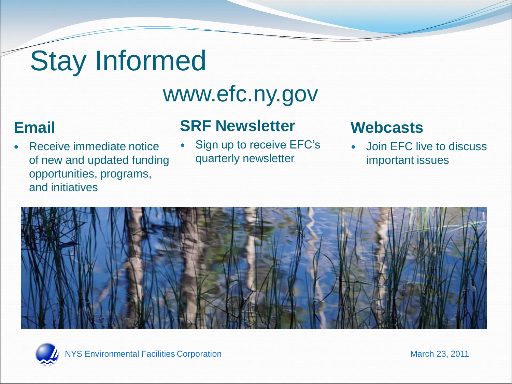# Stay Informed

# www.efc.ny.gov

#### **Email**

 Receive immediate notice of new and updated funding opportunities, programs, and initiatives

## **SRF Newsletter**

 Sign up to receive EFC's quarterly newsletter

#### **Webcasts**

 Join EFC live to discuss important issues